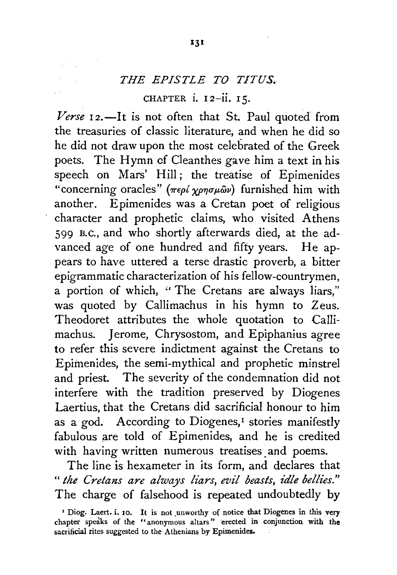## *THE EPISTLE TO T!TUS.*

CHAPTER i. 12-ii. 15.

*Verse*  $I_2$ . It is not often that St. Paul quoted from the treasuries of classic literature, and when he did so he did not draw upon the most celebrated of the Greek poets. The Hymn cf Cleanthes gave him a text in his speech on Mars' Hill; the treatise of Epimenides "concerning oracles"  $(\pi \epsilon \rho \ell \chi \rho \eta \sigma \mu \tilde{\omega} \nu)$  furnished him with another. Epimenides was a Cretan poet of religious character and prophetic claims, who visited Athens 599 B.c., and who shortly afterwards died, at the advanced *age* of one hundred and fifty years. He appears to have uttered a terse drastic proverb, a bitter epigrammatic characterization of his fellow-countrymen, a portion of which, "The Cretans are always liars," was quoted by Callimachus in his hymn to Zeus. Theodoret attributes the whole quotation to Callimachus. Jerome, Chrysostom, and Epiphanius agree to refer this severe indictment against the Cretans to Epiinenides, the semi-mythical and prophetic minstrel and priest. The severity of the condemnation did not interfere with the tradition preserved by Diogenes Laertius, that the Cretans did sacrificial honour to him as a god. According to Diogenes,<sup>1</sup> stories manifestly fabulous are told of Epimenides, and he is credited with having written numerous treatises and poems.

The line is hexameter in its form, and declares that " the Cretans are always liars, evil beasts, idle bellies." The charge of falsehood is repeated undoubtedly by

<sup>&</sup>lt;sup>1</sup> Diog. Laert. i. 10. It is not unworthy of notice that Diogenes in this very chapter speaks of the "anonymous altars" erected in conjunction with the sacrificial rites suggested to the Athenians by Epimenides.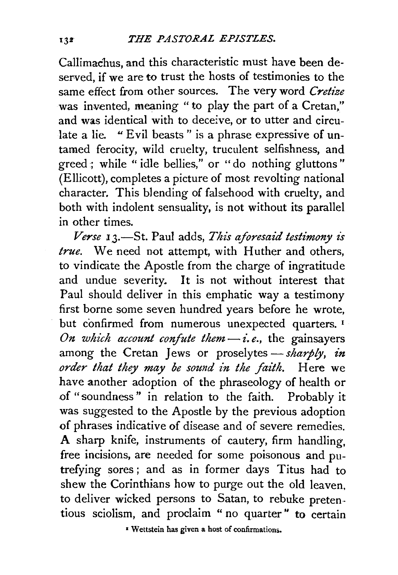Callimachus, and this characteristic must have been deserved, if we are to trust the hosts of testimonies to the same effect from other sources. The very word *Cretize*  was invented, meaning " to play the part of a Cretan," and was identical with to deceive, or to utter and circulate a lie. "Evil beasts" is a phrase expressive of untamed ferocity, wild cruelty, truculent selfishness, and greed ; while " idle bellies," or "do nothing gluttons" (Ellicott), completes a picture of most revolting national character. This blending of falsehood with cruelty, and both with indolent sensuality, is not without its parallel in other times.

*Verse* **13.**—St. Paul adds, *This aforesaid testimony is true.* We need not attempt, with Huther and others, to vindicate the Apostle from the charge of ingratitude and undue severity. It is not without interest that Paul should deliver in this emphatic way a testimony first borne some seven hundred years before he wrote, but confirmed from numerous unexpected quarters.<sup>1</sup> *On which account confute them* $-i.e.,$  the gainsayers among the Cretan Jews or proselytes - sharply, in *order that they may be sound in the faith.* Here we have another adoption of the phraseology of health or of "soundness" in relation to the faith. Probably it was suggested to the Apostle by the previous adoption of phrases indicative of disease and of severe remedies. A sharp knife, instruments of cautery, firm handling, free incisions, are needed for some poisonous and putrefying sores ; and as in former days Titus had to shew the Corinthians how to purge out the old leaven, to deliver wicked persons to Satan, to rebuke pretentious sciolism, and proclaim " no quarter " to certain

• Wettstein has given a host of confirmations.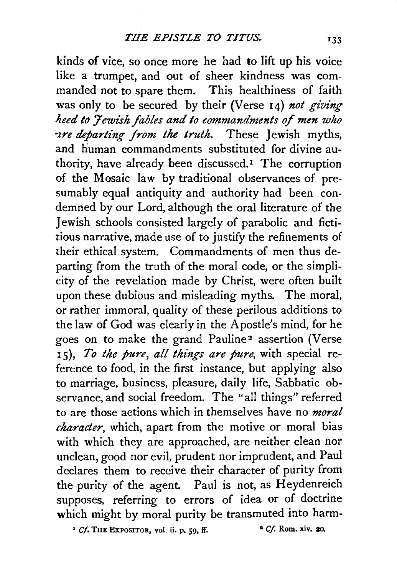kinds of vice, so once more he had to lift up his voice like a trumpet, and out of sheer kindness was commanded not to spare them. This healthiness of faith was only to be secured by their (Verse 14) not giving *heed to Jewish fables and to commandments of men who zre departing from the truth.* These *lewish myths*, and human commandments substituted for divine authority, have already been discussed.<sup>1</sup> The corruption of the Mosaic law by traditional observances of presumably equal antiquity and authority had been condemned by our Lord, although the oral literature of the 1 ewish schools consisted largely of parabolic and fictitious narrative, made use of to justify the refinements of their ethical system. Commandments of men thus departing from the truth of the moral code, or the simplicity of the revelation made by Christ, were often built upon these dubious and misleading myths. The moral, or rather immoral, quality of these perilous additions *to*  the law of God was clearly in the Apostle's mind, for he goes on to make the grand Pauline<sup>2</sup> assertion (Verse Is), *To the pure, all things are pure,* with special reference to food, in the first instance, but applying also to marriage, business, pleasure, daily life, Sabbatic observance, and social freedom. The "all things" referred to are those actions which in themselves have no *moral character,* which, apart from the motive or moral bias with which they are approached, are neither clean nor unclean, good nor evil, prudent nor imprudent, and Paul declares them to receive their character of purity from the purity of the agent. Paul is not, as Heydenreich supposes, referring to errors of idea or of doctrine which might by moral purity be transmuted into harm-

*• Cf.* THE EXPOSITOR, vol. ii. p. *59,* ff. • *Cf.* Rom. xiv. 20.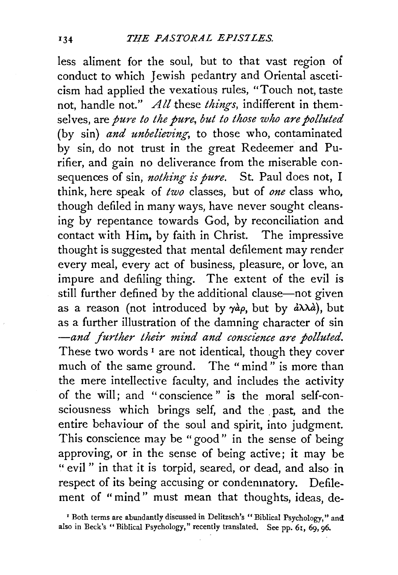less aliment for the soul, but to that vast region of conduct to which Jewish pedantry and Oriental asceticism had applied the vexatious rules, "Touch not, taste not, handle not." *All* these *things,* indifferent in themselves, are *pure to the pure, but to those who are polluted*  (by sin) *and unbelieving,* to those who, contaminated by sin, do not trust in the great Redeemer and Purifier, and gain no deliverance from the miserable consequences of sin, *nothing is pure*. St. Paul does not, I think, here speak of *two* classes, but of *one* class who, though defiled in many ways, have never sought cleansing by repentance towards God, by reconciliation and contact with Him, by faith in Christ. The impressive thought is suggested that mental defilement may render every meal, every act of business, pleasure, or love, an impure and defiling thing. The extent of the evil is still further defined by the additional clause-not given as a reason (not introduced by  $\gamma a \rho$ , but by  $a \lambda \lambda a$ ), but as a further illustration of the damning character of sin *-and further their mind and conscience are polluted.*  These two words<sup>1</sup> are not identical, though they cover much of the same ground. The "mind" is more than the mere intellective faculty, and includes the activity of the will; and "conscience" is the moral self-consciousness which brings self, and the past, and the entire behaviour of the soul and spirit, into judgment. This conscience may be "good" in the sense of being approving, or in the sense of being active; it may be " evil" in that it is torpid, seared, or dead, and also in respect of its being accusing or condemnatory. Defilement of "mind" must mean that thoughts, ideas, de-

<sup>&#</sup>x27; Both terms are abundantly discussed in Delitzsch's "Biblical Psychology," and also in Beck's "Biblical Psychology," recently translated. See pp. 6I, 69, 96.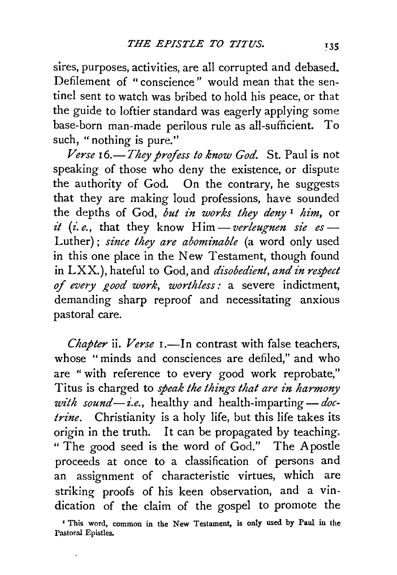sires, purposes, activities, are all corrupted and debased. Defilement of "conscience" would mean that the sentinel sent to watch was bribed to hold his peace, or that the guide to loftier standard was eagerly applying some base-born man-made perilous rule as all-sufficient. To such, "nothing is pure."

*Verse 16.-They profess to know God.* St. Paul is not speaking of those who deny the existence, or dispute the authority of God. On the contrary, he suggests that they are making loud professions, have sounded the depths of God, *but in works they deny<sup>1</sup> him*, or  $it$  (*i.e.*, that they know  $\text{Him}-\text{verleugnen}$  sie es — Luther) ; *since they are abominable* (a word only used in this one place in the New Testament, though found in LXX.), hateful to God, and *disobedient, and in respect of every good work, worthless:* a severe indictment, demanding sharp reproof and necessitating anxious pastoral care.

*Chapter* ii. *Verse* 1.—In contrast with false teachers, whose "minds and consciences are defiled," and who are " with reference to every good work reprobate," Titus is charged to *speak the things that are in harmony* with sound-i.e., healthy and health-imparting- *doctrine.* Christianity is a holy life, but this life takes its origin in the truth. It can be propagated by teaching. "The good seed is the word of God." The Apostle proceeds at once to a classification of persons and an assignment of characteristic virtues, which are striking proofs of his keen observation, and a vindication of the claim of the gospel to promote the

<sup>•</sup> This word, common in the New Testament, is only used by Paul in the Pastoral Epistles.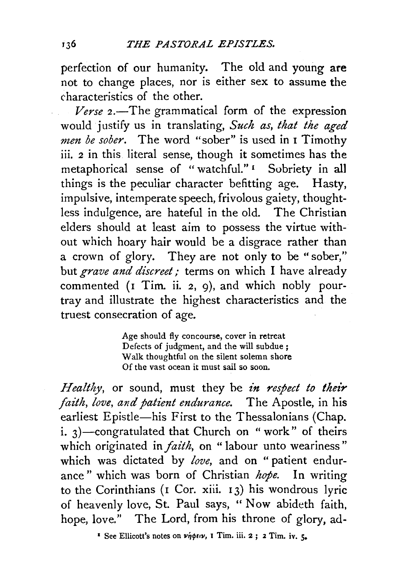perfection of our humanity. The old and young are not to change places, nor is either sex to assume the characteristics of the other.

Verse 2.—The grammatical form of the expression would justify us in translating, *Such as, that the aged men be sober.* The word "sober" is used in 1 Timothy iii. 2 in this literal sense, though it sometimes has the metaphorical sense of " watchful." 1 Sobriety in all things is the peculiar character befitting age. Hasty, impulsive, intemperate speech, frivolous gaiety, thoughtless indulgence, are hateful in the old. The Christian elders should at least aim to possess the virtue without which hoary hair would be a disgrace rather than a crown of glory. They are not only to be "sober," but *grave and discreet*; terms on which I have already commented (1 Tim. ii. 2, 9), and which nobly pourtray and illustrate the highest characteristics and the truest consecration of age.

> Age should fly concourse, cover in retreat Defects of judgment, and the will subdue ; Walk thoughtful on the silent solemn shore Of the vast ocean it must sail so soon.

*Healthy*, or sound, must they be *in respect to their faith, love, and patient endurance.* The Apostle, in his earliest Epistle-his First to the Thessalonians (Chap. i.  $3$ )-congratulated that Church on "work" of theirs which originated in *faith*, on "labour unto weariness" which was dictated by *love,* and on "patient endurance" which was born of Christian *hope.* In writing to the Corinthians (1 Cor. xiii. 13) his wondrous lyric of heavenly love, St. Paul says, "Now abideth faith, hope, love." The Lord, from his throne of glory, ad-

<sup>1</sup> See Ellicott's notes on  $\nu \eta \phi \in \nu$ , **1** Tim. iii. 2 ; 2 Tim. iv.  $\zeta$ .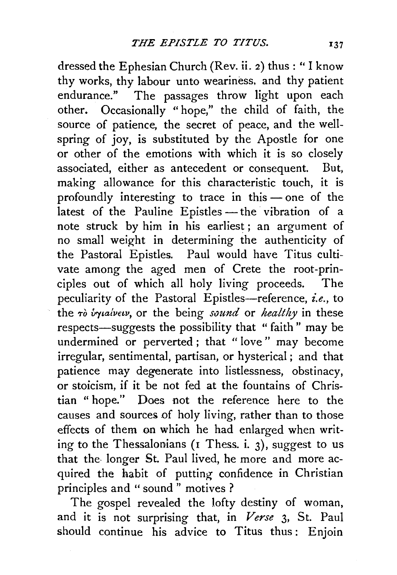dressed the Ephesian Church (Rev. ii. 2) thus : " I know thy works, thy labour unto weariness, and thy patient endurance." The passages throw light upon each other. Occasionally "hope," the child of faith, the source of patience, the secret of peace, and the wellspring of joy, is substituted by the Apostle for one or other of the emotions with which it is so closely associated, either as antecedent or consequent. But, making allowance for this characteristic touch, it is profoundly interesting to trace in this $\rightharpoonup$  one of the latest of the Pauline Epistles - the vibration of a note struck by him in his earliest ; an argument of no small weight in determining the authenticity of the Pastoral Epistles. Paul would have Titus cultivate among the aged men of Crete the root-principles out of which all holy living proceeds. The peculiarity of the Pastoral Epistles-reference, *i.e.*, to the To *vrytalvew,* or the being *sound* or *healthy* in these respects—suggests the possibility that " faith" may be undermined or perverted ; that " love " may become irregular, sentimental, partisan, or hysterical; and that patience may degenerate into listlessness, obstinacy, or stoicism, if it be not fed at the fountains of Christian "hope." Does not the reference here to the causes and sources of holy living, rather than to those effects of them on which he had enlarged when writing to the Thessalonians ( $\bar{i}$  Thess. i. 3), suggest to us that the- longer St. Paul lived, he more and more acquired the habit of putting confidence in Christian principles and " sound " motives ?

The gospel revealed the lofty destiny of woman, and it is not surprising that, in *Verse* 3, St. Paul should continue his advice to Titus thus: Enjoin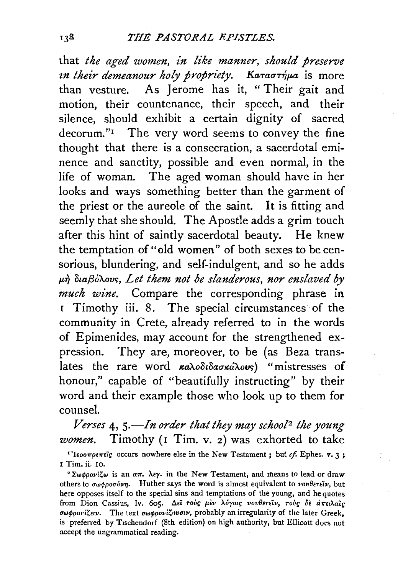that *the aged women, in like manner, should preserve in their demeanour holy propriety. Kaταστήμα* is more than vesture. As Jerome has it, "Their gait and motion, their countenance, their speech, and their silence, should exhibit a certain dignity of sacred decorum."<sup>I</sup> The very word seems to convey the fine thought that there is a consecration, a sacerdotal eminence and sanctity, possible and even normal, in the life of woman. The aged woman should have in her looks and ways something better than the garment of the priest or the aureole of the saint. It is fitting and seemly that she should. The Apostle adds a grim touch after this hint of saintly sacerdotal beauty. He knew the temptation of "old women" of both sexes to be censorious, blundering, and self-indulgent, and so he adds  $\mu$ *n Staßó* $\lambda$ ovs, Let them not be slanderous, nor enslaved by *much wine.* Compare the corresponding phrase in 1 Timothy iii. 8. The special circumstances of the community in Crete, already referred to in the words of Epimenides, may account for the strengthened expression. They are, moreover, to be (as Beza translates the rare word  $\kappa a\lambda o\delta\iota\delta a\sigma\kappa\iota\lambda o\nu s$  "mistresses of honour," capable of "beautifully instructing" by their word and their example those who look up to them for counsel.

*Verses* 4, *s.-In order that they may school2 the young women.* Timothy (r Tim. v. 2) was exhorted to take <sup>1'</sup>Iepo $\pi$ pe $\pi$ eïg occurs nowhere else in the New Testament; but  $cf$ . Ephes. v. 3; I Tim. ii. 10.

 $e^2 \Sigma \omega \phi \rho o \nu i \zeta \omega$  is an  $a \pi$ .  $\lambda \epsilon \gamma$ . in the New Testament, and means to lead or draw others to  $\sigma\omega\phi\rho\sigma\sigma\dot{\nu}\nu\eta$ . Huther says the word is almost equivalent to  $\nu\sigma\nu\theta\epsilon\tau\epsilon\ddot{\nu}$ , but here opposes itself to the special sins and temptations of the young, and he quotes from Dion Cassius, lv. 605. Δεί τούς μεν λόγοις νουθετείν, τούς δε άπειλαίς σωφρονίζειν. The text σωφρονίζουσιν, probably an irregularity of the later Greek, is preferred by T1schendorf (8th edition) on high authority, but Ellicott does not accept the ungrammatical reading.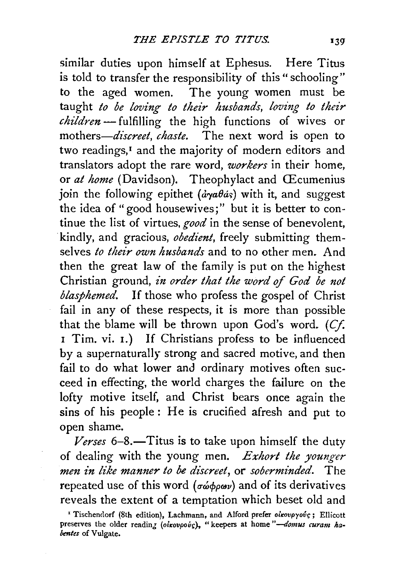similar duties upon himself at Ephesus. Here Titus is told to transfer the responsibility of this "schooling" to the aged women. The young women must be taught *to be loving to their husbands, loving to their children-* fulfilling the high functions of wives or mothers—*discreet, chaste*. The next word is open to two readings,<sup>1</sup> and the majority of modern editors and translators adopt the rare word, *workers* in their home, or *at home* (Davidson). Theophylact and CEcumenius join the following epithet ( $\partial \gamma a \theta \dot{\alpha} s$ ) with it, and suggest the idea of "good housewives;" but it is better to continue the list of virtues, *good* in the sense of benevolent, kindly, and gracious, *obedient,* freely submitting themselves *to their own husbands* and to no other men. And then the great law of the family is put on the highest Christian ground, *in order that the word of God be not blasphemed.* If those who profess the gospel of Christ fail in any of these respects, it is more than possible that the blame will be thrown upon God's word.  $(Cf)$ . 1 Tim. vi. 1.) If Christians profess to be influenced by a supernaturally strong and sacred motive, and then fail to do what lower and ordinary motives often succeed in effecting, the world charges the failure on the lofty motive itself, and Christ bears once again the sins of his people: He is crucified afresh and put to open shame.

*—Titus is to take upon himself the duty* of dealing with the young men. *Exhort the younger mm in like manner to be discreet,* or *soberminded.* The repeated use of this word ( $\sigma\omega\phi\rho\omega v$ ) and of its derivatives reveals the extent of a temptation which beset old and

<sup>&</sup>lt;sup>r</sup> Tischendorf (8th edition), Lachmann, and Alford prefer οικουργούς; Ellicott preserves the older reading (oixovpov<sup>c</sup>s), "keepers at home "- domus curam ha*bmtes* of Vulgate.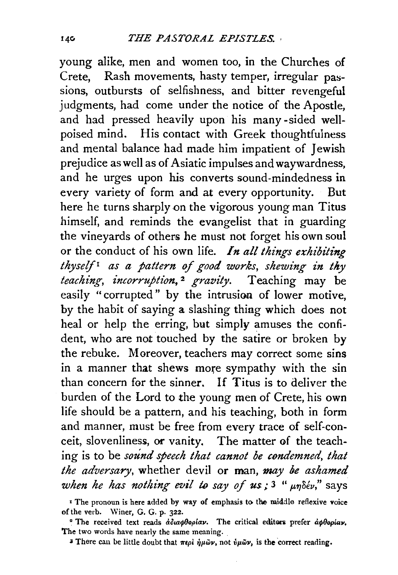young alike, men and women too, in the Churches of Crete, Rash movements, hasty temper, irregular passions, outbursts of selfishness, and bitter revengeful judgments, had come under the notice of the Apostle, and had pressed heavily upon his many -sided wellpoised mind. His contact with Greek thoughtfulness and mental balance had made him impatient of Jewish prejudice as well as of Asiatic impulses and waywardness, and he urges upon his converts sound-mindedness in every variety of form and at every opportunity. But here he turns sharply on the vigorous young man Titus himself, and reminds the evangelist that in guarding the vineyards of others he must not forget his own soul or the conduct of his own life. *In all things exhibiting thyself 1 as a pattern of good works, shewing in thy teaching, incorruption*,<sup>2</sup> gravity. Teaching may be easily "corrupted" by the intrusion of lower motive, by the habit of saying a slashing thing which does not heal or help the erring, but simply amuses the confident, who are not touched by the satire or broken by the rebuke. Moreover, teachers may correct some sins in a manner that shews more sympathy with the sin than concern for the sinner. If Titus is to deliver the burden of the Lord to the young men of Crete, his own life should be a pattern, and his teaching, both in form and manner, must be free from every trace of self-conceit, slovenliness, or vanity. The matter of the teaching is to be *sound speech that cannot be condemned, that*  the adversary, whether devil or man, may be ashamed *when he has nothing evil to say of us;*  $3 \mu n \delta \epsilon \nu$ ," says

<sup>I</sup> The pronoun is here added by way of emphasis to the middle reflexive voice of the verb. Winer, G. G. p. 322.

<sup>2</sup> The received text reads *άδιαφθορίαν*. The critical editors prefer *αφθορίαν*, The two words have nearly the same meaning.

<sup>3</sup> There can be little doubt that  $\pi \epsilon \rho i$   $\dot{\eta} \mu \tilde{\omega} \nu$ , not  $\dot{\nu} \mu \tilde{\omega} \nu$ , is the correct reading.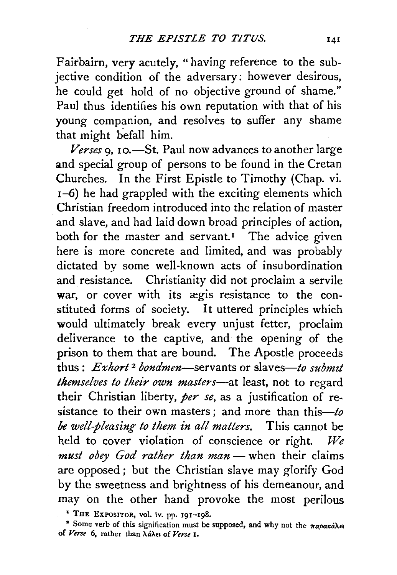Falrbairn, very acutely, "having reference to the subjective condition of the adversary: however desirous, he could get hold of no objective ground of shame." Paul thus identifies his own reputation with that of his young companion, and resolves to suffer any shame that might befall him.

*Verses* 9, 10.-St. Paul now advances to another large and special group of persons to be found in the Cretan Churches. In the First Epistle to Timothy (Chap. vi. 1-6) he had grappled with the exciting elements which Christian freedom introduced into the relation of master and slave, and had laid down broad principles of action, both for the master and servant.<sup> $I$ </sup> The advice given here is more concrete and limited, and was probably dictated by some well-known acts of insubordination and resistance. Christianity did not proclaim a servile war, or cover with its ægis resistance to the constituted forms of society. It uttered principles which would ultimately break every unjust fetter, proclaim deliverance to the captive, and the opening of the prison to them that are bound. The Apostle proceeds thus: *Exhort* 2 *bondmen-servants* or slaves-to *submzt themselves to their own masters*-at least, not to regard their Christian liberty, *per se,* as a justification of resistance to their own masters ; and more than this- $to$ *be well-pleasing to them £n all matters.* This cannot be held to cover violation of conscience or right. *We must obey God rather than man-* when their claims are opposed; but the Christian slave may glorify God by the sweetness and brightness of his demeanour, and may on the other hand provoke the most perilous

<sup>1</sup> THE EXPOSITOR, vol. iv. pp. 191-198.

<sup>2</sup> Some verb of this signification must be supposed, and why not the  $\pi a$ oará $\lambda$ a of *Verse* 6, rather than XaXn of *Verse* 1.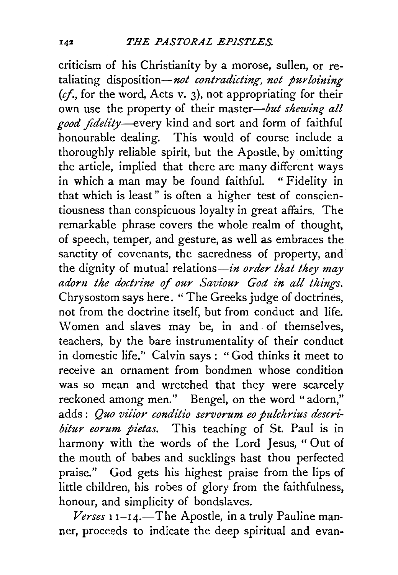criticism of his Christianity by a morose, sullen, or retaliating disposition-not *contradicting, not purloining (cf.,* for the word, Acts v. 3), not appropriating for their own use the property of their *master-but shewing all good fidelity-every* kind and sort and form of faithful honourable dealing. This would of course include a thoroughly reliable spirit, but the Apostle, by omitting the article, implied that there are many different ways in which a man may be found faithful. " Fidelity in that which is least" is often a higher test of conscientiousness than conspicuous loyalty in great affairs. The remarkable phrase covers the whole realm of thought, of speech, temper, and gesture, as well as embraces the sanctity of covenants, the sacredness of property, and the dignity of mutual relations-in *order that they may*  adorn the doctrine of our Saviour God in all things. Chrysostom says here. "The Greeks judge of doctrines, not from the doctrine itself, but from conduct and life. Women and slaves may be, in and . of themselves, teachers, by the bare instrumentality of their conduct in domestic life.'' Calvin says : " God thinks it meet to receive an ornament from bondmen whose condition was so mean and wretched that they were scarcely reckoned among men." Bengel, on the word "adorn," adds: Quo vilior conditio servorum eo pulchrius descri*bitur eorum pietas.* This teaching of St. Paul is in harmony with the words of the Lord Jesus, " Out of the mouth of babes and sucklings hast thou perfected praise." God gets his highest praise from the lips of little children, his robes of glory from the faithfulness, honour, and simplicity of bondslaves.

Verses 11-14.-The Apostle, in a truly Pauline manner, proceeds to indicate the deep spiritual and evan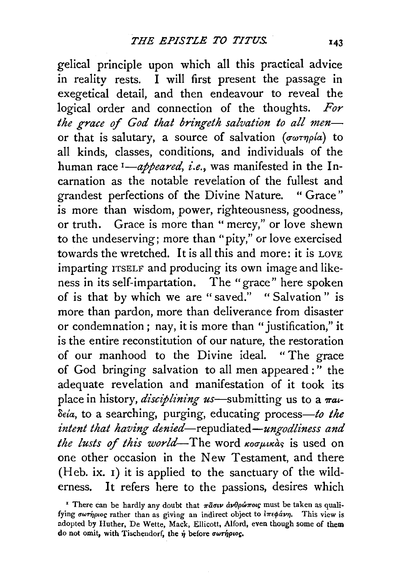gelical principle upon which all this practical advice in reality rests. I will first present the passage in exegetical detail, and then endeavour to reveal the logical order and connection of the thoughts. *For*  the grace of God that bringeth salvation to all menor that is salutary, a source of salvation *(σωτηρία)* to all kinds, classes, conditions, and individuals of the human race <sup>1</sup>-appeared, i.e., was manifested in the Incarnation as the notable revelation of the fullest and grandest perfections of the Divine Nature. " Grace" is more than wisdom, power, righteousness, goodness, or truth. Grace is more than "mercy," or love shewn to the undeserving; more than "pity," or love exercised towards the wretched. It is all this and more: it is LOVE imparting ITSELF and producing its own image and likeness in its self-impartation. The "grace" here spoken of is that by which we are "saved." "Salvation" is more than pardon, more than deliverance from disaster or condemnation; nay, it is more than "justification," it is the entire reconstitution of our nature, the restoration of our manhood to the Divine ideal. " The grace of God bringing salvation to all men appeared : '' the adequate revelation and manifestation of it took its place in history, *disciplining us*—submitting us to a  $\pi a$ *oda,* to a searching, purging, educating *process-to the z'ntent that having denied-repudiated-ungodliness and the lusts of this world*—The word  $\kappa$ *oo puxas* is used on one other occasion in the New Testament, and there (Heb. ix. 1) it is applied to the sanctuary of the wilderness. It refers here to the passions, desires which

<sup>&</sup>lt;sup>I</sup> There can be hardly any doubt that  $\pi \tilde{a} \sigma \nu \dot{a} \nu \theta \rho \dot{\omega} \pi \sigma \nu$ : must be taken as qualifying σωτήριος rather than as giving an indirect object to *iπεφάνη*. This view is adopted by Huther, De Wette, Mack, Ellicott, Alford, even though some of them do not omit, with Tischendorf, the *ή* before σωτήριος.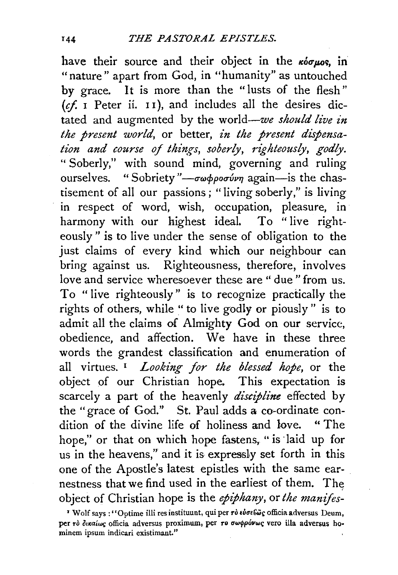have their source and their object in the  $\kappa$ *ior<sub>ptos</sub>*, in "nature" apart from God, in "humanity" as untouched by grace. It is more than the "lusts of the flesh"  $(cf. I Peter ii. II)$ , and includes all the desires dictated and augmented by the world-we *should live in the present world,* or better, *in the present dispensation and course of things, soberly, 1'ighteously, godly.*  " Soberly," with sound mind, governing and ruling ourselves. "Sobriety"—σωφροσύνη again—is the chastisement of all our passions; "living soberly," is living in respect of word, wish, occupation, pleasure, in harmony with our highest ideal. To "live righteously" is to live under the sense of obligation to the just claims of every kind which our neighbour can bring against us. Righteousness, therefore, involves love and service wheresoever these are " due" from us. To " live righteously" is to recognize practically the rights of others, while "to live godly or piously" is to admit all the claims of Almighty God on our service, obedience, and affection. We have in these three words the grandest classification and enumeration of all virtues. 1 *Looking for the blessed hope,* or the object of our Christian hope. This expectation is scarcely a part of the heavenly *discipline* effected by the "grace of God.'' St. Paul adds a co~ordinate condition of the divine life of holiness and love. " The hope," or that on which hope fastens, "is laid up for us in the heavens," and it is expressly set forth in this one of the Apostle's latest epistles with the same earnestness that we find used in the earliest of them. The object of Christian hope is the *epiphany,* or *the manifes-*

<sup>&</sup>lt;sup>*• Wolf says* : "Optime illi res instituunt, qui per *rò εύσε ώς* officia adversus Deum,</sup> per rò δικαίως officia adversus proximum, per *ro σωφρόνως* vero illa adversus hominem ipsum indicari existimant."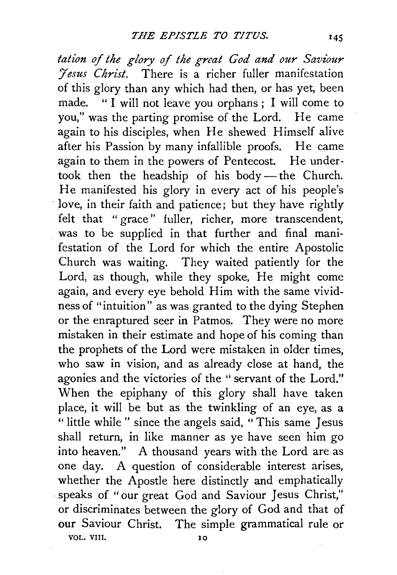tation of the glory of the great God and our Saviour *'/esus Christ.* There is a richer fuller manifestation of this glory than any which had then, or has yet, been made. " I will not leave you orphans ; I will come to you," was the parting promise of the Lord. He came again to his disciples, when He shewed Himself alive after his Passion by many infallible proofs. He came again to them in the powers of Pentecost. He undertook then the headship of his body-the Church. He manifested his glory in every act of his people's love, in their faith and patience; but they have rightly felt that "grace" fuller, richer, more transcendent, was to be supplied in that further and final manifestation of the Lord for which the entire Apostolic Church was waiting. They waited patiently for the Lord, as though, while they spoke, He might come again, and every eye behold Him with the same vividness of "intuition" as was granted to the dying Stephen or the enraptured seer in Patmos. They were no more mistaken in their estimate and hope of his coming than the prophets of the Lord were mistaken in older times, who saw in vision, and as already close at hand, the agonies and the victories of the " servant of the Lord." When the epiphany of this glory shall have taken place, it will be but as the twinkling of an eye, as a " little while " since the angels said, "This same Jesus shall return, in like manner as ye have seen him go into heaven." A thousand years with the Lord are as one day. A question of considerable interest arises, whether the Apostle here distinctly and emphatically speaks of "our great God and Saviour Jesus Christ," or discriminates between the glory of God and that of our Saviour Christ. The simple grammatical rule or VOL. VIII. 10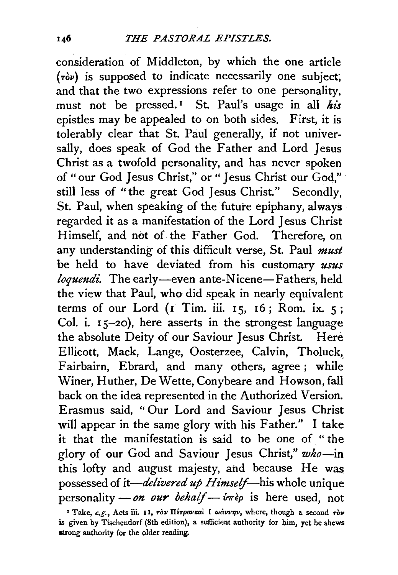consideration of Middleton, by which the one article  $(\tau \delta \nu)$  is supposed to indicate necessarily one subject; and that the two expressions refer to one personality, must not be pressed.<sup> $I$ </sup> St. Paul's usage in all his epistles may be appealed to on both sides. First, it is tolerably clear that St. Paul generally, if not universally, does speak of God the Father and Lord Jesus Christ as a twofold personality, and has never spoken of "our God Jesus Christ," or " Jesus Christ our God," · still less of "the great God Jesus Christ." Secondly, St. Paul, when speaking of the future epiphany, always regarded it as a manifestation of the Lord Jesus Christ Himself, and not of the Father God. Therefore, on any understanding of this difficult verse, St. Paul *must*  be held to have deviated from his customary *usus loquendi*. The early-even ante-Nicene-Fathers, held the view that Paul, who did speak in nearly equivalent terms of our Lord  $(1)$  Tim. iii. 15, 16; Rom. ix. 5; Col. i. 15-20), here asserts in the strongest language the absolute Deity of our Saviour Jesus Christ. Here Ellicott, Mack, Lange, Oosterzee, Calvin, Tholuck,> Fairbairn, Ebrard, and many others, agree; while Winer, Huther, De Wette, Conybeare and Howson, fall back on the idea represented in the Authorized Version. Erasmus said, "Our Lord and Saviour Jesus Christ will appear in the same glory with his Father." I take it that the manifestation is said to be one of " the glory of our God and Saviour Jesus Christ," *who-in*  this lofty and august majesty, and because He was possessed of *it-delivered up Himself--his* whole unique personality *- on our behalf* -  $\delta m \partial \rho$  is here used, not

<sup>&</sup>lt;sup>1</sup> Take, *e.g.*, Acts iii. 11, *rov H*<sub>6</sub>*rovkai* I wavvnv, where, though a second *rov* is given by Tischendorf (8th edition), a sufficient authority for him, yet he shews strong authority for the older reading.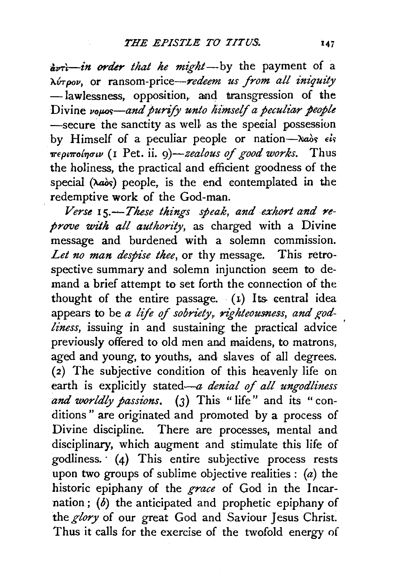$\frac{v}{\sqrt{v}}$ *in order that he might*-by the payment of a *"AvTpov,* or ransom-price-redeem *us from all iniquity*  -lawlessness, opposition, and transgression of the Divine vous-and purify unto himself a peculiar people  $-$ secure the sanctity as well as the special possession by Himself of a peculiar people or nation-Naos *els '1rfpt7rol'l}o-tv* {I Pet. ii. *9)-zealous* of *good works.* Thus the holiness, the practical and efficient goodness of the special  $(\lambda a\delta s)$  people, is the end contemplated in the redemptive work of the God-man.

Verse 15.-These things speak, and exhort and re*prove with all authority*, as charged with a Divine message and burdened with a solemn commission. *Let no man despise thee,* or thy message. This retrospective summary and solemn injunction seem to demand a brief attempt to set forth the connection of the thought of the entire passage.  $(1)$  Its central idea appears to be *a life of sobriety*, *righteousness*, and god*liness*, issuing in and sustaining the practical advice previously offered to old men and maidens, to matrons, aged and young, to youths, and slaves of all degrees. (2) The subjective condition of this heavenly life on earth is explicitly stated-a *denial of all ungodliness and worldly passions.* (3) This "life" and its "conditions " are originated and promoted by a process of Divine discipline. There are processes, mental and disciplinary, which augment and stimulate this life of godliness. · (4) This entire subjective process rests upon two groups of sublime objective realities :  $(a)$  the historic epiphany of the *grace* of God in the Incarnation;  $(b)$  the anticipated and prophetic epiphany of the *glory* of our great God and Saviour Jesus Christ. Thus it calls for the exercise of the twofold energy of